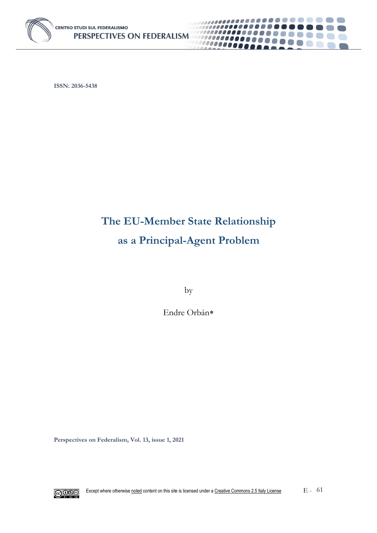

**ISSN: 2036-5438**

# **The EU-Member State Relationship as a Principal-Agent Problem**

..........

**CONTRACTOR** 

................

,,,,,,,,,,,,,,,,,,,,,,

100000000

by

Endre Orbán

**Perspectives on Federalism, Vol. 13, issue 1, 2021**

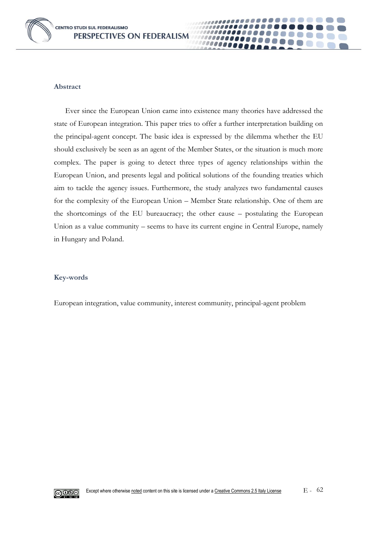

### **Abstract**

Ever since the European Union came into existence many theories have addressed the state of European integration. This paper tries to offer a further interpretation building on the principal-agent concept. The basic idea is expressed by the dilemma whether the EU should exclusively be seen as an agent of the Member States, or the situation is much more complex. The paper is going to detect three types of agency relationships within the European Union, and presents legal and political solutions of the founding treaties which aim to tackle the agency issues. Furthermore, the study analyzes two fundamental causes for the complexity of the European Union – Member State relationship. One of them are the shortcomings of the EU bureaucracy; the other cause – postulating the European Union as a value community – seems to have its current engine in Central Europe, namely in Hungary and Poland.

10000000 000000

### **Key-words**

European integration, value community, interest community, principal-agent problem

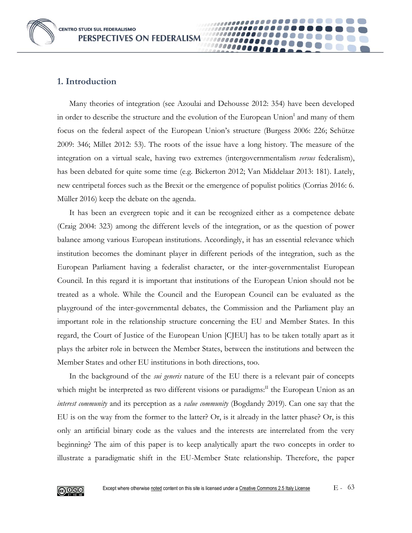# **1. Introduction**

Many theories of integration (see Azoulai and Dehousse 2012: 354) have been developed in order to describe the structure and the evolution of the European Union<sup>I</sup> and many of them focus on the federal aspect of the European Union's structure (Burgess 2006: 226; Schütze 2009: 346; Millet 2012: 53). The roots of the issue have a long history. The measure of the integration on a virtual scale, having two extremes (intergovernmentalism *versus* federalism), has been debated for quite some time (e.g. Bickerton 2012; Van Middelaar 2013: 181). Lately, new centripetal forces such as the Brexit or the emergence of populist politics (Corrias 2016: 6. Müller 2016) keep the debate on the agenda.

It has been an evergreen topic and it can be recognized either as a competence debate (Craig 2004: 323) among the different levels of the integration, or as the question of power balance among various European institutions. Accordingly, it has an essential relevance which institution becomes the dominant player in different periods of the integration, such as the European Parliament having a federalist character, or the inter-governmentalist European Council. In this regard it is important that institutions of the European Union should not be treated as a whole. While the Council and the European Council can be evaluated as the playground of the inter-governmental debates, the Commission and the Parliament play an important role in the relationship structure concerning the EU and Member States. In this regard, the Court of Justice of the European Union [CJEU] has to be taken totally apart as it plays the arbiter role in between the Member States, between the institutions and between the Member States and other EU institutions in both directions, too.

In the background of the *sui generis* nature of the EU there is a relevant pair of concepts which might be interpreted as two different visions or paradigms:<sup>II</sup> the European Union as an *interest community* and its perception as a *value community* (Bogdandy 2019). Can one say that the EU is on the way from the former to the latter? Or, is it already in the latter phase? Or, is this only an artificial binary code as the values and the interests are interrelated from the very beginning? The aim of this paper is to keep analytically apart the two concepts in order to illustrate a paradigmatic shift in the EU-Member State relationship. Therefore, the paper

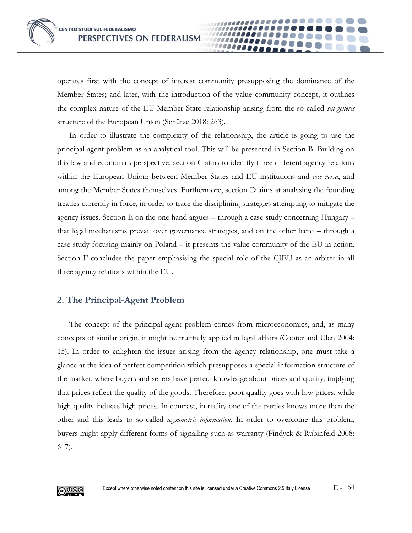operates first with the concept of interest community presupposing the dominance of the Member States; and later, with the introduction of the value community concept, it outlines the complex nature of the EU-Member State relationship arising from the so-called *sui generis* structure of the European Union (Schütze 2018: 263).

In order to illustrate the complexity of the relationship, the article is going to use the principal-agent problem as an analytical tool. This will be presented in Section B. Building on this law and economics perspective, section C aims to identify three different agency relations within the European Union: between Member States and EU institutions and *vice versa*, and among the Member States themselves. Furthermore, section D aims at analysing the founding treaties currently in force, in order to trace the disciplining strategies attempting to mitigate the agency issues. Section E on the one hand argues – through a case study concerning Hungary – that legal mechanisms prevail over governance strategies, and on the other hand – through a case study focusing mainly on Poland – it presents the value community of the EU in action. Section F concludes the paper emphasising the special role of the CJEU as an arbiter in all three agency relations within the EU.

# **2. The Principal-Agent Problem**

The concept of the principal-agent problem comes from microeconomics, and, as many concepts of similar origin, it might be fruitfully applied in legal affairs (Cooter and Ulen 2004: 15). In order to enlighten the issues arising from the agency relationship, one must take a glance at the idea of perfect competition which presupposes a special information structure of the market, where buyers and sellers have perfect knowledge about prices and quality, implying that prices reflect the quality of the goods. Therefore, poor quality goes with low prices, while high quality induces high prices. In contrast, in reality one of the parties knows more than the other and this leads to so-called *asymmetric information*. In order to overcome this problem, buyers might apply different forms of signalling such as warranty (Pindyck & Rubinfeld 2008: 617).

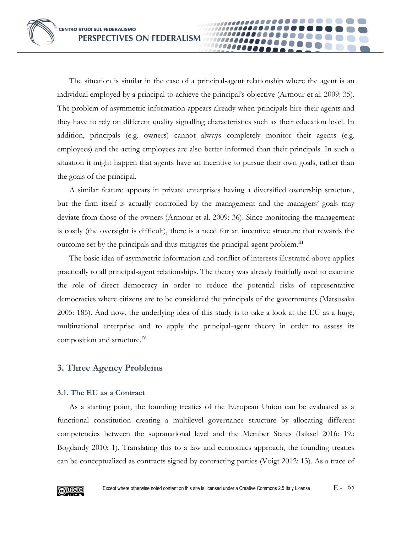The situation is similar in the case of a principal-agent relationship where the agent is an individual employed by a principal to achieve the principal's objective (Armour et al. 2009: 35). The problem of asymmetric information appears already when principals hire their agents and they have to rely on different quality signalling characteristics such as their education level. In addition, principals (e.g. owners) cannot always completely monitor their agents (e.g. employees) and the acting employees are also better informed than their principals. In such a situation it might happen that agents have an incentive to pursue their own goals, rather than the goals of the principal.

A similar feature appears in private enterprises having a diversified ownership structure, but the firm itself is actually controlled by the management and the managers' goals may deviate from those of the owners (Armour et al. 2009: 36). Since monitoring the management is costly (the oversight is difficult), there is a need for an incentive structure that rewards the outcome set by the principals and thus mitigates the principal-agent problem.<sup>III</sup>

The basic idea of asymmetric information and conflict of interests illustrated above applies practically to all principal-agent relationships. The theory was already fruitfully used to examine the role of direct democracy in order to reduce the potential risks of representative democracies where citizens are to be considered the principals of the governments (Matsusaka 2005: 185). And now, the underlying idea of this study is to take a look at the EU as a huge, multinational enterprise and to apply the principal-agent theory in order to assess its composition and structure.<sup>IV</sup>

# **3. Three Agency Problems**

# **3.1. The EU as a Contract**

As a starting point, the founding treaties of the European Union can be evaluated as a functional constitution creating a multilevel governance structure by allocating different competencies between the supranational level and the Member States (Isiksel 2016: 19.; Bogdandy 2010: 1). Translating this to a law and economics approach, the founding treaties can be conceptualized as contracts signed by contracting parties (Voigt 2012: 13). As a trace of

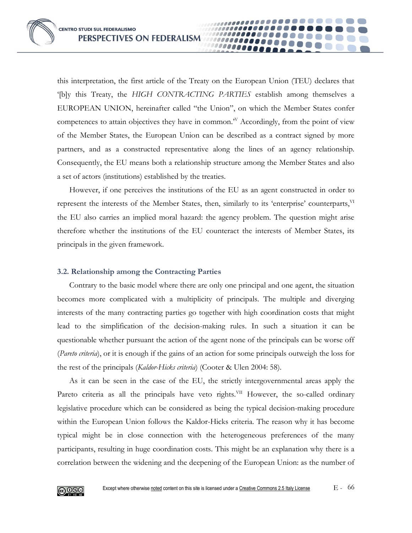this interpretation, the first article of the Treaty on the European Union (TEU) declares that '[b]y this Treaty, the *HIGH CONTRACTING PARTIES* establish among themselves a EUROPEAN UNION, hereinafter called "the Union", on which the Member States confer competences to attain objectives they have in common.<sup>'V</sup> Accordingly, from the point of view of the Member States, the European Union can be described as a contract signed by more partners, and as a constructed representative along the lines of an agency relationship. Consequently, the EU means both a relationship structure among the Member States and also a set of actors (institutions) established by the treaties.

However, if one perceives the institutions of the EU as an agent constructed in order to represent the interests of the Member States, then, similarly to its 'enterprise' counterparts, VI the EU also carries an implied moral hazard: the agency problem. The question might arise therefore whether the institutions of the EU counteract the interests of Member States, its principals in the given framework.

### **3.2. Relationship among the Contracting Parties**

Contrary to the basic model where there are only one principal and one agent, the situation becomes more complicated with a multiplicity of principals. The multiple and diverging interests of the many contracting parties go together with high coordination costs that might lead to the simplification of the decision-making rules. In such a situation it can be questionable whether pursuant the action of the agent none of the principals can be worse off (*Pareto criteria*), or it is enough if the gains of an action for some principals outweigh the loss for the rest of the principals (*Kaldor-Hicks criteria*) (Cooter & Ulen 2004: 58).

As it can be seen in the case of the EU, the strictly intergovernmental areas apply the Pareto criteria as all the principals have veto rights.<sup>VII</sup> However, the so-called ordinary legislative procedure which can be considered as being the typical decision-making procedure within the European Union follows the Kaldor-Hicks criteria. The reason why it has become typical might be in close connection with the heterogeneous preferences of the many participants, resulting in huge coordination costs. This might be an explanation why there is a correlation between the widening and the deepening of the European Union: as the number of

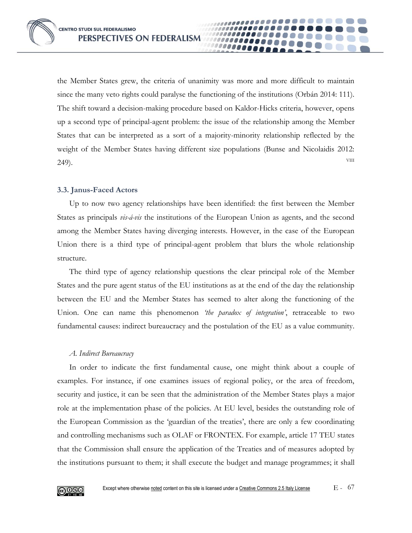the Member States grew, the criteria of unanimity was more and more difficult to maintain since the many veto rights could paralyse the functioning of the institutions (Orbán 2014: 111). The shift toward a decision-making procedure based on Kaldor-Hicks criteria, however, opens up a second type of principal-agent problem: the issue of the relationship among the Member States that can be interpreted as a sort of a majority-minority relationship reflected by the weight of the Member States having different size populations (Bunse and Nicolaidis 2012:  $249$ ).

## **3.3. Janus-Faced Actors**

Up to now two agency relationships have been identified: the first between the Member States as principals *vis-á-vis* the institutions of the European Union as agents, and the second among the Member States having diverging interests. However, in the case of the European Union there is a third type of principal-agent problem that blurs the whole relationship structure.

The third type of agency relationship questions the clear principal role of the Member States and the pure agent status of the EU institutions as at the end of the day the relationship between the EU and the Member States has seemed to alter along the functioning of the Union. One can name this phenomenon *'the paradox of integration'*, retraceable to two fundamental causes: indirect bureaucracy and the postulation of the EU as a value community.

# *A. Indirect Bureaucracy*

In order to indicate the first fundamental cause, one might think about a couple of examples. For instance, if one examines issues of regional policy, or the area of freedom, security and justice, it can be seen that the administration of the Member States plays a major role at the implementation phase of the policies. At EU level, besides the outstanding role of the European Commission as the 'guardian of the treaties', there are only a few coordinating and controlling mechanisms such as OLAF or FRONTEX. For example, article 17 TEU states that the Commission shall ensure the application of the Treaties and of measures adopted by the institutions pursuant to them; it shall execute the budget and manage programmes; it shall

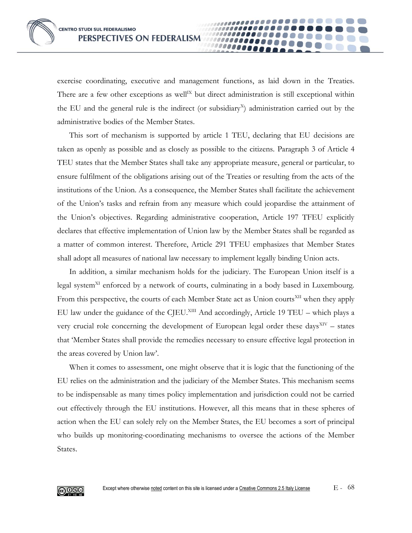exercise coordinating, executive and management functions, as laid down in the Treaties. There are a few other exceptions as well<sup>IX</sup> but direct administration is still exceptional within the EU and the general rule is the indirect (or subsidiary<sup>x</sup>) administration carried out by the administrative bodies of the Member States.

This sort of mechanism is supported by article 1 TEU, declaring that EU decisions are taken as openly as possible and as closely as possible to the citizens. Paragraph 3 of Article 4 TEU states that the Member States shall take any appropriate measure, general or particular, to ensure fulfilment of the obligations arising out of the Treaties or resulting from the acts of the institutions of the Union. As a consequence, the Member States shall facilitate the achievement of the Union's tasks and refrain from any measure which could jeopardise the attainment of the Union's objectives. Regarding administrative cooperation, Article 197 TFEU explicitly declares that effective implementation of Union law by the Member States shall be regarded as a matter of common interest. Therefore, Article 291 TFEU emphasizes that Member States shall adopt all measures of national law necessary to implement legally binding Union acts.

In addition, a similar mechanism holds for the judiciary. The European Union itself is a legal system<sup>XI</sup> enforced by a network of courts, culminating in a body based in Luxembourg. From this perspective, the courts of each Member State act as Union courts<sup>XII</sup> when they apply EU law under the guidance of the CJEU.<sup>XIII</sup> And accordingly, Article 19 TEU – which plays a very crucial role concerning the development of European legal order these days<sup>XIV</sup> - states that 'Member States shall provide the remedies necessary to ensure effective legal protection in the areas covered by Union law'.

When it comes to assessment, one might observe that it is logic that the functioning of the EU relies on the administration and the judiciary of the Member States. This mechanism seems to be indispensable as many times policy implementation and jurisdiction could not be carried out effectively through the EU institutions. However, all this means that in these spheres of action when the EU can solely rely on the Member States, the EU becomes a sort of principal who builds up monitoring-coordinating mechanisms to oversee the actions of the Member States.

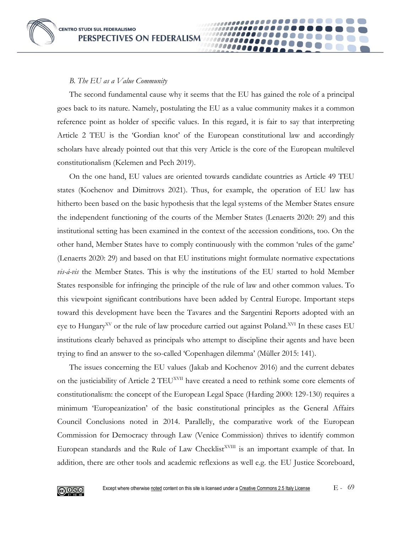#### *B. The EU as a Value Community*

The second fundamental cause why it seems that the EU has gained the role of a principal goes back to its nature. Namely, postulating the EU as a value community makes it a common reference point as holder of specific values. In this regard, it is fair to say that interpreting Article 2 TEU is the 'Gordian knot' of the European constitutional law and accordingly scholars have already pointed out that this very Article is the core of the European multilevel constitutionalism (Kelemen and Pech 2019).

On the one hand, EU values are oriented towards candidate countries as Article 49 TEU states (Kochenov and Dimitrovs 2021). Thus, for example, the operation of EU law has hitherto been based on the basic hypothesis that the legal systems of the Member States ensure the independent functioning of the courts of the Member States (Lenaerts 2020: 29) and this institutional setting has been examined in the context of the accession conditions, too. On the other hand, Member States have to comply continuously with the common 'rules of the game' (Lenaerts 2020: 29) and based on that EU institutions might formulate normative expectations *vis-á-vis* the Member States. This is why the institutions of the EU started to hold Member States responsible for infringing the principle of the rule of law and other common values. To this viewpoint significant contributions have been added by Central Europe. Important steps toward this development have been the Tavares and the Sargentini Reports adopted with an eye to Hungary<sup>XV</sup> or the rule of law procedure carried out against Poland.<sup>XVI</sup> In these cases EU institutions clearly behaved as principals who attempt to discipline their agents and have been trying to find an answer to the so-called 'Copenhagen dilemma' (Müller 2015: 141).

The issues concerning the EU values (Jakab and Kochenov 2016) and the current debates on the justiciability of Article 2 TEU<sup>XVII</sup> have created a need to rethink some core elements of constitutionalism: the concept of the European Legal Space (Harding 2000: 129-130) requires a minimum 'Europeanization' of the basic constitutional principles as the General Affairs Council Conclusions noted in 2014. Parallelly, the comparative work of the European Commission for Democracy through Law (Venice Commission) thrives to identify common European standards and the Rule of Law Checklist<sup>XVIII</sup> is an important example of that. In addition, there are other tools and academic reflexions as well e.g. the EU Justice Scoreboard,

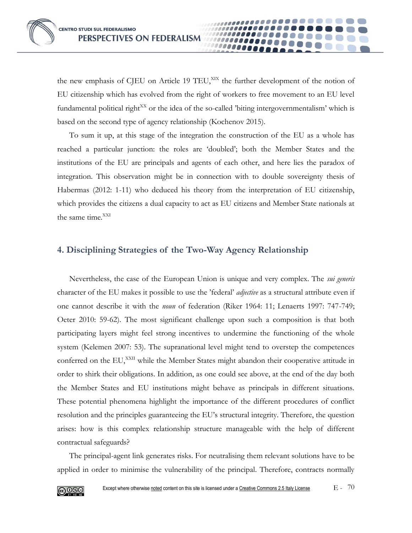the new emphasis of CJEU on Article 19 TEU,<sup>XIX</sup> the further development of the notion of EU citizenship which has evolved from the right of workers to free movement to an EU level fundamental political right<sup>XX</sup> or the idea of the so-called 'biting intergovernmentalism' which is based on the second type of agency relationship (Kochenov 2015).

To sum it up, at this stage of the integration the construction of the EU as a whole has reached a particular junction: the roles are 'doubled'; both the Member States and the institutions of the EU are principals and agents of each other, and here lies the paradox of integration. This observation might be in connection with to double sovereignty thesis of Habermas (2012: 1-11) who deduced his theory from the interpretation of EU citizenship, which provides the citizens a dual capacity to act as EU citizens and Member State nationals at the same time.<sup>XXI</sup>

# **4. Disciplining Strategies of the Two-Way Agency Relationship**

Nevertheless, the case of the European Union is unique and very complex. The *sui generis* character of the EU makes it possible to use the 'federal' *adjective* as a structural attribute even if one cannot describe it with the *noun* of federation (Riker 1964: 11; Lenaerts 1997: 747-749; Oeter 2010: 59-62). The most significant challenge upon such a composition is that both participating layers might feel strong incentives to undermine the functioning of the whole system (Kelemen 2007: 53). The supranational level might tend to overstep the competences conferred on the EU,<sup>XXII</sup> while the Member States might abandon their cooperative attitude in order to shirk their obligations. In addition, as one could see above, at the end of the day both the Member States and EU institutions might behave as principals in different situations. These potential phenomena highlight the importance of the different procedures of conflict resolution and the principles guaranteeing the EU's structural integrity. Therefore, the question arises: how is this complex relationship structure manageable with the help of different contractual safeguards?

The principal-agent link generates risks. For neutralising them relevant solutions have to be applied in order to minimise the vulnerability of the principal. Therefore, contracts normally

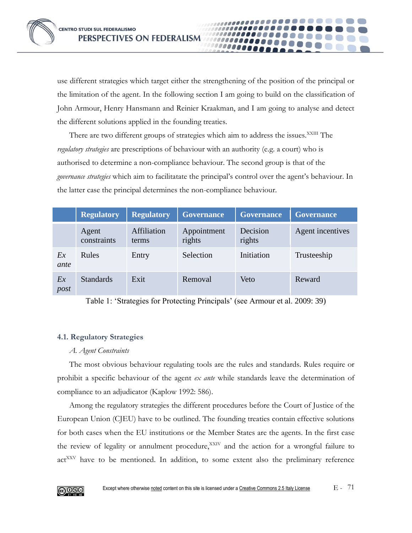use different strategies which target either the strengthening of the position of the principal or the limitation of the agent. In the following section I am going to build on the classification of John Armour, Henry Hansmann and Reinier Kraakman, and I am going to analyse and detect the different solutions applied in the founding treaties.

There are two different groups of strategies which aim to address the issues.<sup>XXIII</sup> The *regulatory strategies* are prescriptions of behaviour with an authority (e.g. a court) who is authorised to determine a non-compliance behaviour. The second group is that of the *governance strategies* which aim to facilitatate the principal's control over the agent's behaviour. In the latter case the principal determines the non-compliance behaviour.

|            | <b>Regulatory</b>    | <b>Regulatory</b>    | <b>Governance</b>     | <b>Governance</b>  | <b>Governance</b> |
|------------|----------------------|----------------------|-----------------------|--------------------|-------------------|
|            | Agent<br>constraints | Affiliation<br>terms | Appointment<br>rights | Decision<br>rights | Agent incentives  |
| Ex<br>ante | Rules                | Entry                | Selection             | Initiation         | Trusteeship       |
| Ex<br>post | <b>Standards</b>     | Exit                 | Removal               | Veto               | Reward            |

Table 1: 'Strategies for Protecting Principals' (see Armour et al. 2009: 39)

# **4.1. Regulatory Strategies**

# *A. Agent Constraints*

The most obvious behaviour regulating tools are the rules and standards. Rules require or prohibit a specific behaviour of the agent *ex ante* while standards leave the determination of compliance to an adjudicator (Kaplow 1992: 586).

Among the regulatory strategies the different procedures before the Court of Justice of the European Union (CJEU) have to be outlined. The founding treaties contain effective solutions for both cases when the EU institutions or the Member States are the agents. In the first case the review of legality or annulment procedure, XXIV and the action for a wrongful failure to act<sup>XXV</sup> have to be mentioned. In addition, to some extent also the preliminary reference

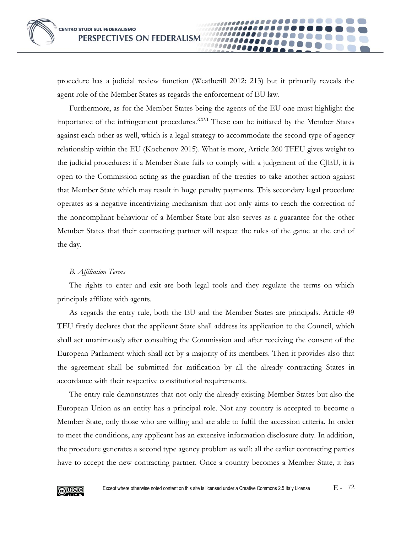procedure has a judicial review function (Weatherill 2012: 213) but it primarily reveals the agent role of the Member States as regards the enforcement of EU law.

Furthermore, as for the Member States being the agents of the EU one must highlight the importance of the infringement procedures.<sup>XXVI</sup> These can be initiated by the Member States against each other as well, which is a legal strategy to accommodate the second type of agency relationship within the EU (Kochenov 2015). What is more, Article 260 TFEU gives weight to the judicial procedures: if a Member State fails to comply with a judgement of the CJEU, it is open to the Commission acting as the guardian of the treaties to take another action against that Member State which may result in huge penalty payments. This secondary legal procedure operates as a negative incentivizing mechanism that not only aims to reach the correction of the noncompliant behaviour of a Member State but also serves as a guarantee for the other Member States that their contracting partner will respect the rules of the game at the end of the day.

### *B. Affiliation Terms*

The rights to enter and exit are both legal tools and they regulate the terms on which principals affiliate with agents.

As regards the entry rule, both the EU and the Member States are principals. Article 49 TEU firstly declares that the applicant State shall address its application to the Council, which shall act unanimously after consulting the Commission and after receiving the consent of the European Parliament which shall act by a majority of its members. Then it provides also that the agreement shall be submitted for ratification by all the already contracting States in accordance with their respective constitutional requirements.

The entry rule demonstrates that not only the already existing Member States but also the European Union as an entity has a principal role. Not any country is accepted to become a Member State, only those who are willing and are able to fulfil the accession criteria. In order to meet the conditions, any applicant has an extensive information disclosure duty. In addition, the procedure generates a second type agency problem as well: all the earlier contracting parties have to accept the new contracting partner. Once a country becomes a Member State, it has

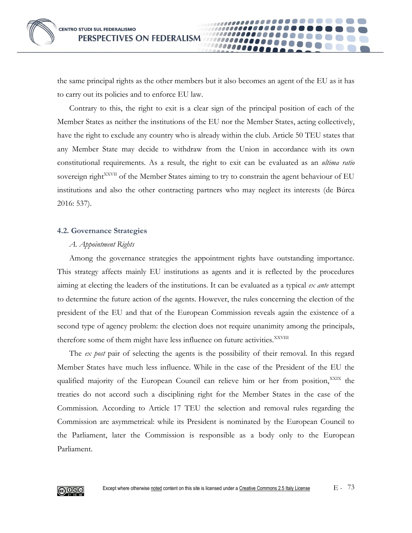the same principal rights as the other members but it also becomes an agent of the EU as it has to carry out its policies and to enforce EU law.

Contrary to this, the right to exit is a clear sign of the principal position of each of the Member States as neither the institutions of the EU nor the Member States, acting collectively, have the right to exclude any country who is already within the club. Article 50 TEU states that any Member State may decide to withdraw from the Union in accordance with its own constitutional requirements. As a result, the right to exit can be evaluated as an *ultima ratio* sovereign right<sup>XXVII</sup> of the Member States aiming to try to constrain the agent behaviour of EU institutions and also the other contracting partners who may neglect its interests (de Búrca 2016: 537).

#### **4.2. Governance Strategies**

#### *A. Appointment Rights*

Among the governance strategies the appointment rights have outstanding importance. This strategy affects mainly EU institutions as agents and it is reflected by the procedures aiming at electing the leaders of the institutions. It can be evaluated as a typical *ex ante* attempt to determine the future action of the agents. However, the rules concerning the election of the president of the EU and that of the European Commission reveals again the existence of a second type of agency problem: the election does not require unanimity among the principals, therefore some of them might have less influence on future activities.<sup>XXVIII</sup>

The *ex post* pair of selecting the agents is the possibility of their removal. In this regard Member States have much less influence. While in the case of the President of the EU the qualified majority of the European Council can relieve him or her from position,<sup>XXIX</sup> the treaties do not accord such a disciplining right for the Member States in the case of the Commission. According to Article 17 TEU the selection and removal rules regarding the Commission are asymmetrical: while its President is nominated by the European Council to the Parliament, later the Commission is responsible as a body only to the European Parliament.

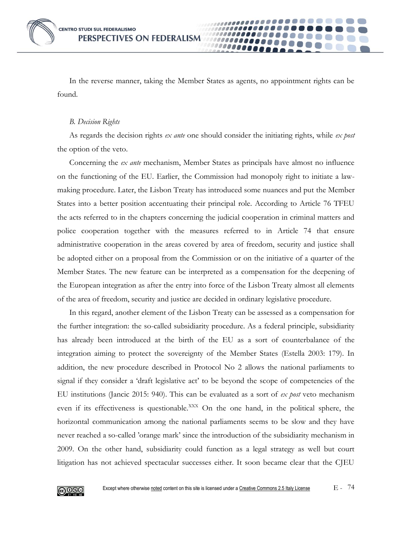In the reverse manner, taking the Member States as agents, no appointment rights can be found.

#### *B. Decision Rights*

As regards the decision rights *ex ante* one should consider the initiating rights, while *ex post* the option of the veto.

Concerning the *ex ante* mechanism, Member States as principals have almost no influence on the functioning of the EU. Earlier, the Commission had monopoly right to initiate a lawmaking procedure. Later, the Lisbon Treaty has introduced some nuances and put the Member States into a better position accentuating their principal role. According to Article 76 TFEU the acts referred to in the chapters concerning the judicial cooperation in criminal matters and police cooperation together with the measures referred to in Article 74 that ensure administrative cooperation in the areas covered by area of freedom, security and justice shall be adopted either on a proposal from the Commission or on the initiative of a quarter of the Member States. The new feature can be interpreted as a compensation for the deepening of the European integration as after the entry into force of the Lisbon Treaty almost all elements of the area of freedom, security and justice are decided in ordinary legislative procedure.

In this regard, another element of the Lisbon Treaty can be assessed as a compensation for the further integration: the so-called subsidiarity procedure. As a federal principle, subsidiarity has already been introduced at the birth of the EU as a sort of counterbalance of the integration aiming to protect the sovereignty of the Member States (Estella 2003: 179). In addition, the new procedure described in Protocol No 2 allows the national parliaments to signal if they consider a 'draft legislative act' to be beyond the scope of competencies of the EU institutions (Jancic 2015: 940). This can be evaluated as a sort of *ex post* veto mechanism even if its effectiveness is questionable.<sup>XXX</sup> On the one hand, in the political sphere, the horizontal communication among the national parliaments seems to be slow and they have never reached a so-called 'orange mark' since the introduction of the subsidiarity mechanism in 2009. On the other hand, subsidiarity could function as a legal strategy as well but court litigation has not achieved spectacular successes either. It soon became clear that the CJEU

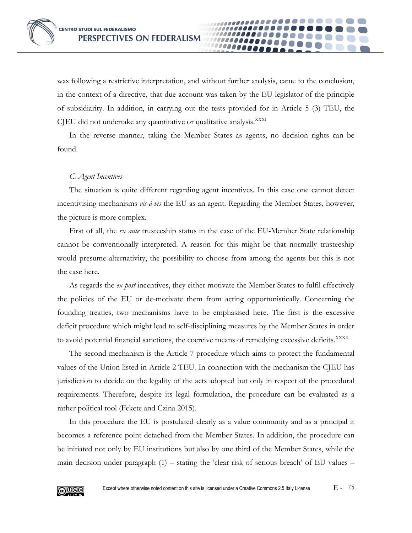was following a restrictive interpretation, and without further analysis, came to the conclusion, in the context of a directive, that due account was taken by the EU legislator of the principle of subsidiarity. In addition, in carrying out the tests provided for in Article 5 (3) TEU, the CJEU did not undertake any quantitative or qualitative analysis.<sup>XXXI</sup>

In the reverse manner, taking the Member States as agents, no decision rights can be found.

# *C. Agent Incentives*

The situation is quite different regarding agent incentives. In this case one cannot detect incentivising mechanisms *vis-á-vis* the EU as an agent. Regarding the Member States, however, the picture is more complex.

First of all, the *ex ante* trusteeship status in the case of the EU-Member State relationship cannot be conventionally interpreted. A reason for this might be that normally trusteeship would presume alternativity, the possibility to choose from among the agents but this is not the case here.

As regards the *ex post* incentives, they either motivate the Member States to fulfil effectively the policies of the EU or de-motivate them from acting opportunistically. Concerning the founding treaties, two mechanisms have to be emphasised here. The first is the excessive deficit procedure which might lead to self-disciplining measures by the Member States in order to avoid potential financial sanctions, the coercive means of remedying excessive deficits.<sup>XXXII</sup>

The second mechanism is the Article 7 procedure which aims to protect the fundamental values of the Union listed in Article 2 TEU. In connection with the mechanism the CJEU has jurisdiction to decide on the legality of the acts adopted but only in respect of the procedural requirements. Therefore, despite its legal formulation, the procedure can be evaluated as a rather political tool (Fekete and Czina 2015).

In this procedure the EU is postulated clearly as a value community and as a principal it becomes a reference point detached from the Member States. In addition, the procedure can be initiated not only by EU institutions but also by one third of the Member States, while the main decision under paragraph (1) – stating the 'clear risk of serious breach' of EU values –

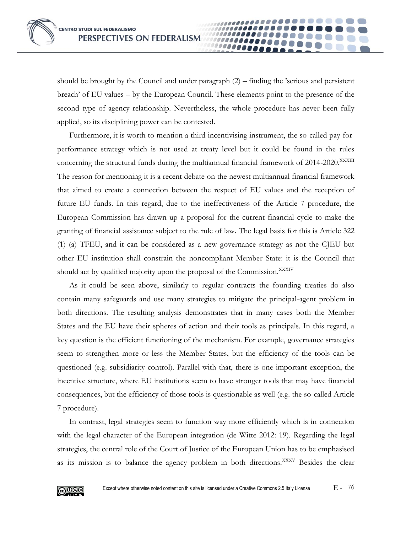should be brought by the Council and under paragraph (2) – finding the 'serious and persistent breach' of EU values – by the European Council. These elements point to the presence of the second type of agency relationship. Nevertheless, the whole procedure has never been fully applied, so its disciplining power can be contested.

100000

Furthermore, it is worth to mention a third incentivising instrument, the so-called pay-forperformance strategy which is not used at treaty level but it could be found in the rules concerning the structural funds during the multiannual financial framework of 2014-2020.XXXIII The reason for mentioning it is a recent debate on the newest multiannual financial framework that aimed to create a connection between the respect of EU values and the reception of future EU funds. In this regard, due to the ineffectiveness of the Article 7 procedure, the European Commission has drawn up a proposal for the current financial cycle to make the granting of financial assistance subject to the rule of law. The legal basis for this is Article 322 (1) (a) TFEU, and it can be considered as a new governance strategy as not the CJEU but other EU institution shall constrain the noncompliant Member State: it is the Council that should act by qualified majority upon the proposal of the Commission.<sup>XXXIV</sup>

As it could be seen above, similarly to regular contracts the founding treaties do also contain many safeguards and use many strategies to mitigate the principal-agent problem in both directions. The resulting analysis demonstrates that in many cases both the Member States and the EU have their spheres of action and their tools as principals. In this regard, a key question is the efficient functioning of the mechanism. For example, governance strategies seem to strengthen more or less the Member States, but the efficiency of the tools can be questioned (e.g. subsidiarity control). Parallel with that, there is one important exception, the incentive structure, where EU institutions seem to have stronger tools that may have financial consequences, but the efficiency of those tools is questionable as well (e.g. the so-called Article 7 procedure).

In contrast, legal strategies seem to function way more efficiently which is in connection with the legal character of the European integration (de Witte 2012: 19). Regarding the legal strategies, the central role of the Court of Justice of the European Union has to be emphasised as its mission is to balance the agency problem in both directions.<sup>XXXV</sup> Besides the clear

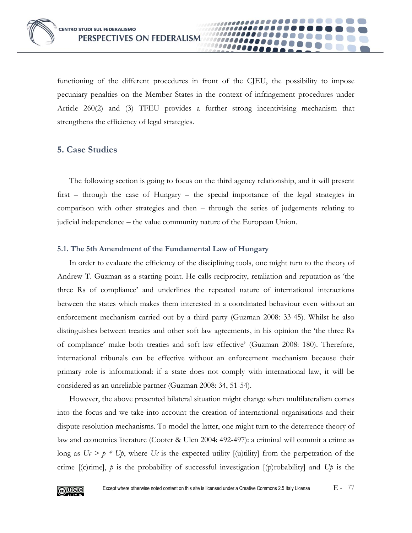functioning of the different procedures in front of the CJEU, the possibility to impose pecuniary penalties on the Member States in the context of infringement procedures under Article 260(2) and (3) TFEU provides a further strong incentivising mechanism that strengthens the efficiency of legal strategies.

# **5. Case Studies**

The following section is going to focus on the third agency relationship, and it will present first – through the case of Hungary – the special importance of the legal strategies in comparison with other strategies and then – through the series of judgements relating to judicial independence – the value community nature of the European Union.

## **5.1. The 5th Amendment of the Fundamental Law of Hungary**

In order to evaluate the efficiency of the disciplining tools, one might turn to the theory of Andrew T. Guzman as a starting point. He calls reciprocity, retaliation and reputation as 'the three Rs of compliance' and underlines the repeated nature of international interactions between the states which makes them interested in a coordinated behaviour even without an enforcement mechanism carried out by a third party (Guzman 2008: 33-45). Whilst he also distinguishes between treaties and other soft law agreements, in his opinion the 'the three Rs of compliance' make both treaties and soft law effective' (Guzman 2008: 180). Therefore, international tribunals can be effective without an enforcement mechanism because their primary role is informational: if a state does not comply with international law, it will be considered as an unreliable partner (Guzman 2008: 34, 51-54).

However, the above presented bilateral situation might change when multilateralism comes into the focus and we take into account the creation of international organisations and their dispute resolution mechanisms. To model the latter, one might turn to the deterrence theory of law and economics literature (Cooter & Ulen 2004: 492-497): a criminal will commit a crime as long as  $U_c > p * U_p$ , where  $U_c$  is the expected utility [(u)tility] from the perpetration of the crime [(c)rime], *p* is the probability of successful investigation [(p)robability] and *Up* is the

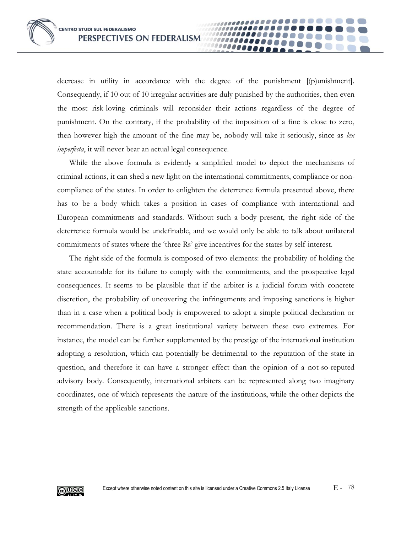decrease in utility in accordance with the degree of the punishment [(p)unishment]. Consequently, if 10 out of 10 irregular activities are duly punished by the authorities, then even the most risk-loving criminals will reconsider their actions regardless of the degree of punishment. On the contrary, if the probability of the imposition of a fine is close to zero, then however high the amount of the fine may be, nobody will take it seriously, since as *lex imperfecta*, it will never bear an actual legal consequence.

10000A

While the above formula is evidently a simplified model to depict the mechanisms of criminal actions, it can shed a new light on the international commitments, compliance or noncompliance of the states. In order to enlighten the deterrence formula presented above, there has to be a body which takes a position in cases of compliance with international and European commitments and standards. Without such a body present, the right side of the deterrence formula would be undefinable, and we would only be able to talk about unilateral commitments of states where the 'three Rs' give incentives for the states by self-interest.

The right side of the formula is composed of two elements: the probability of holding the state accountable for its failure to comply with the commitments, and the prospective legal consequences. It seems to be plausible that if the arbiter is a judicial forum with concrete discretion, the probability of uncovering the infringements and imposing sanctions is higher than in a case when a political body is empowered to adopt a simple political declaration or recommendation. There is a great institutional variety between these two extremes. For instance, the model can be further supplemented by the prestige of the international institution adopting a resolution, which can potentially be detrimental to the reputation of the state in question, and therefore it can have a stronger effect than the opinion of a not-so-reputed advisory body. Consequently, international arbiters can be represented along two imaginary coordinates, one of which represents the nature of the institutions, while the other depicts the strength of the applicable sanctions.

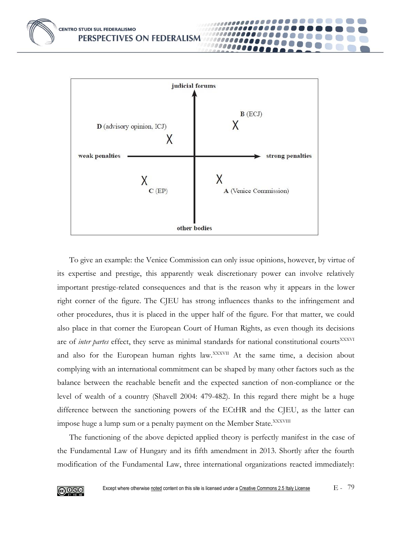

To give an example: the Venice Commission can only issue opinions, however, by virtue of its expertise and prestige, this apparently weak discretionary power can involve relatively important prestige-related consequences and that is the reason why it appears in the lower right corner of the figure. The CJEU has strong influences thanks to the infringement and other procedures, thus it is placed in the upper half of the figure. For that matter, we could also place in that corner the European Court of Human Rights, as even though its decisions are of *inter partes* effect, they serve as minimal standards for national constitutional courts<sup>XXXVI</sup> and also for the European human rights law.<sup>XXXVII</sup> At the same time, a decision about complying with an international commitment can be shaped by many other factors such as the balance between the reachable benefit and the expected sanction of non-compliance or the level of wealth of a country (Shavell 2004: 479-482). In this regard there might be a huge difference between the sanctioning powers of the ECtHR and the CJEU, as the latter can impose huge a lump sum or a penalty payment on the Member State.<sup>XXXVIII</sup>

The functioning of the above depicted applied theory is perfectly manifest in the case of the Fundamental Law of Hungary and its fifth amendment in 2013. Shortly after the fourth modification of the Fundamental Law, three international organizations reacted immediately:

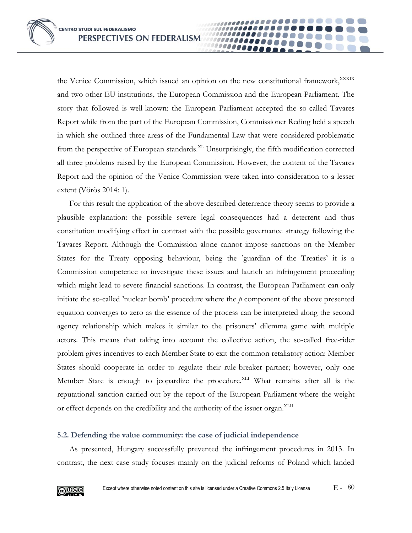the Venice Commission, which issued an opinion on the new constitutional framework, XXXIX and two other EU institutions, the European Commission and the European Parliament. The story that followed is well-known: the European Parliament accepted the so-called Tavares Report while from the part of the European Commission, Commissioner Reding held a speech in which she outlined three areas of the Fundamental Law that were considered problematic from the perspective of European standards.<sup>XL</sup> Unsurprisingly, the fifth modification corrected all three problems raised by the European Commission. However, the content of the Tavares Report and the opinion of the Venice Commission were taken into consideration to a lesser extent (Vörös 2014: 1).

100000

For this result the application of the above described deterrence theory seems to provide a plausible explanation: the possible severe legal consequences had a deterrent and thus constitution modifying effect in contrast with the possible governance strategy following the Tavares Report. Although the Commission alone cannot impose sanctions on the Member States for the Treaty opposing behaviour, being the 'guardian of the Treaties' it is a Commission competence to investigate these issues and launch an infringement proceeding which might lead to severe financial sanctions. In contrast, the European Parliament can only initiate the so-called 'nuclear bomb' procedure where the *p* component of the above presented equation converges to zero as the essence of the process can be interpreted along the second agency relationship which makes it similar to the prisoners' dilemma game with multiple actors. This means that taking into account the collective action, the so-called free-rider problem gives incentives to each Member State to exit the common retaliatory action: Member States should cooperate in order to regulate their rule-breaker partner; however, only one Member State is enough to jeopardize the procedure.<sup>XLI</sup> What remains after all is the reputational sanction carried out by the report of the European Parliament where the weight or effect depends on the credibility and the authority of the issuer organ.<sup>XLII</sup>

### **5.2. Defending the value community: the case of judicial independence**

As presented, Hungary successfully prevented the infringement procedures in 2013. In contrast, the next case study focuses mainly on the judicial reforms of Poland which landed

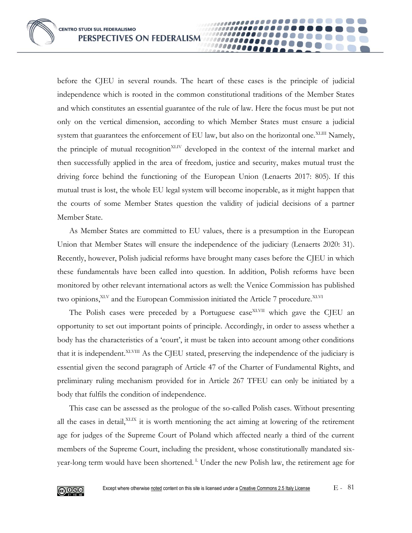before the CJEU in several rounds. The heart of these cases is the principle of judicial independence which is rooted in the common constitutional traditions of the Member States and which constitutes an essential guarantee of the rule of law. Here the focus must be put not only on the vertical dimension, according to which Member States must ensure a judicial system that guarantees the enforcement of EU law, but also on the horizontal one.<sup>XLIII</sup> Namely, the principle of mutual recognition<sup>XLIV</sup> developed in the context of the internal market and then successfully applied in the area of freedom, justice and security, makes mutual trust the driving force behind the functioning of the European Union (Lenaerts 2017: 805). If this mutual trust is lost, the whole EU legal system will become inoperable, as it might happen that the courts of some Member States question the validity of judicial decisions of a partner Member State.

As Member States are committed to EU values, there is a presumption in the European Union that Member States will ensure the independence of the judiciary (Lenaerts 2020: 31). Recently, however, Polish judicial reforms have brought many cases before the CJEU in which these fundamentals have been called into question. In addition, Polish reforms have been monitored by other relevant international actors as well: the Venice Commission has published two opinions,<sup>XLV</sup> and the European Commission initiated the Article 7 procedure.<sup>XLVI</sup>

The Polish cases were preceded by a Portuguese case<sup>XLVII</sup> which gave the CJEU an opportunity to set out important points of principle. Accordingly, in order to assess whether a body has the characteristics of a 'court', it must be taken into account among other conditions that it is independent. XLVIII As the CJEU stated, preserving the independence of the judiciary is essential given the second paragraph of Article 47 of the Charter of Fundamental Rights, and preliminary ruling mechanism provided for in Article 267 TFEU can only be initiated by a body that fulfils the condition of independence.

This case can be assessed as the prologue of the so-called Polish cases. Without presenting all the cases in detail,<sup>XLIX</sup> it is worth mentioning the act aiming at lowering of the retirement age for judges of the Supreme Court of Poland which affected nearly a third of the current members of the Supreme Court, including the president, whose constitutionally mandated sixyear-long term would have been shortened.<sup>L</sup> Under the new Polish law, the retirement age for

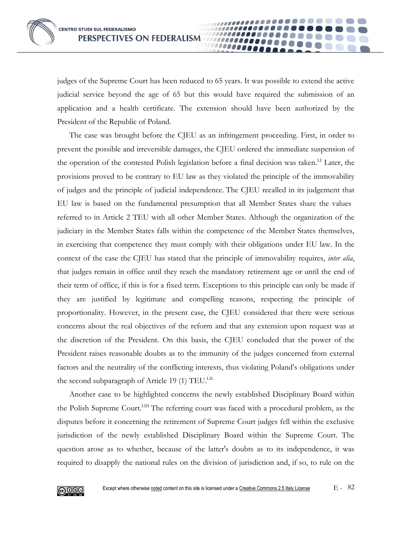judges of the Supreme Court has been reduced to 65 years. It was possible to extend the active judicial service beyond the age of 65 but this would have required the submission of an application and a health certificate. The extension should have been authorized by the President of the Republic of Poland.

The case was brought before the CJEU as an infringement proceeding. First, in order to prevent the possible and irreversible damages, the CJEU ordered the immediate suspension of the operation of the contested Polish legislation before a final decision was taken.<sup>LI</sup> Later, the provisions proved to be contrary to EU law as they violated the principle of the immovability of judges and the principle of judicial independence. The CJEU recalled in its judgement that EU law is based on the fundamental presumption that all Member States share the values referred to in Article 2 TEU with all other Member States. Although the organization of the judiciary in the Member States falls within the competence of the Member States themselves, in exercising that competence they must comply with their obligations under EU law. In the context of the case the CJEU has stated that the principle of immovability requires, *inter alia*, that judges remain in office until they reach the mandatory retirement age or until the end of their term of office, if this is for a fixed term. Exceptions to this principle can only be made if they are justified by legitimate and compelling reasons, respecting the principle of proportionality. However, in the present case, the CJEU considered that there were serious concerns about the real objectives of the reform and that any extension upon request was at the discretion of the President. On this basis, the CJEU concluded that the power of the President raises reasonable doubts as to the immunity of the judges concerned from external factors and the neutrality of the conflicting interests, thus violating Poland's obligations under the second subparagraph of Article 19 (1) TEU.<sup>LII</sup>

Another case to be highlighted concerns the newly established Disciplinary Board within the Polish Supreme Court.<sup>LIII</sup> The referring court was faced with a procedural problem, as the disputes before it concerning the retirement of Supreme Court judges fell within the exclusive jurisdiction of the newly established Disciplinary Board within the Supreme Court. The question arose as to whether, because of the latter's doubts as to its independence, it was required to disapply the national rules on the division of jurisdiction and, if so, to rule on the

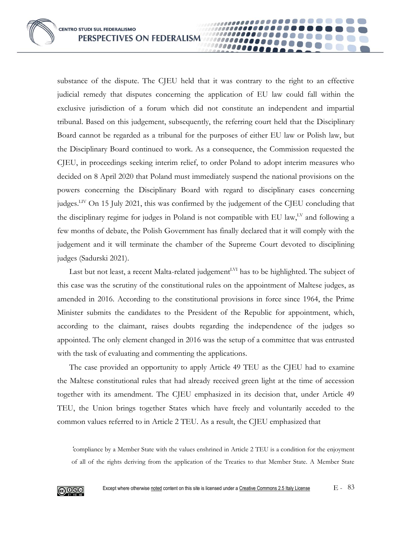substance of the dispute. The CJEU held that it was contrary to the right to an effective judicial remedy that disputes concerning the application of EU law could fall within the exclusive jurisdiction of a forum which did not constitute an independent and impartial tribunal. Based on this judgement, subsequently, the referring court held that the Disciplinary Board cannot be regarded as a tribunal for the purposes of either EU law or Polish law, but the Disciplinary Board continued to work. As a consequence, the Commission requested the CJEU, in proceedings seeking interim relief, to order Poland to adopt interim measures who decided on 8 April 2020 that Poland must immediately suspend the national provisions on the powers concerning the Disciplinary Board with regard to disciplinary cases concerning judges.LIV On 15 July 2021, this was confirmed by the judgement of the CJEU concluding that the disciplinary regime for judges in Poland is not compatible with EU law,<sup>LV</sup> and following a few months of debate, the Polish Government has finally declared that it will comply with the judgement and it will terminate the chamber of the Supreme Court devoted to disciplining judges (Sadurski 2021).

1000000

Last but not least, a recent Malta-related judgement<sup>LVI</sup> has to be highlighted. The subject of this case was the scrutiny of the constitutional rules on the appointment of Maltese judges, as amended in 2016. According to the constitutional provisions in force since 1964, the Prime Minister submits the candidates to the President of the Republic for appointment, which, according to the claimant, raises doubts regarding the independence of the judges so appointed. The only element changed in 2016 was the setup of a committee that was entrusted with the task of evaluating and commenting the applications.

The case provided an opportunity to apply Article 49 TEU as the CJEU had to examine the Maltese constitutional rules that had already received green light at the time of accession together with its amendment. The CJEU emphasized in its decision that, under Article 49 TEU, the Union brings together States which have freely and voluntarily acceded to the common values referred to in Article 2 TEU. As a result, the CJEU emphasized that

*'*compliance by a Member State with the values enshrined in Article 2 TEU is a condition for the enjoyment of all of the rights deriving from the application of the Treaties to that Member State. A Member State

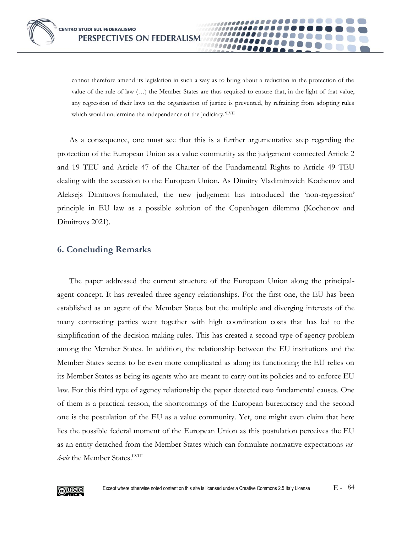cannot therefore amend its legislation in such a way as to bring about a reduction in the protection of the value of the rule of law (…) the Member States are thus required to ensure that, in the light of that value, any regression of their laws on the organisation of justice is prevented, by refraining from adopting rules which would undermine the independence of the judiciary.'LVII

As a consequence, one must see that this is a further argumentative step regarding the protection of the European Union as a value community as the judgement connected Article 2 and 19 TEU and Article 47 of the Charter of the Fundamental Rights to Article 49 TEU dealing with the accession to the European Union. As Dimitry Vladimirovich Kochenov and Aleksejs Dimitrovs formulated, the new judgement has introduced the 'non-regression' principle in EU law as a possible solution of the Copenhagen dilemma (Kochenov and Dimitrovs 2021).

# **6. Concluding Remarks**

The paper addressed the current structure of the European Union along the principalagent concept. It has revealed three agency relationships. For the first one, the EU has been established as an agent of the Member States but the multiple and diverging interests of the many contracting parties went together with high coordination costs that has led to the simplification of the decision-making rules. This has created a second type of agency problem among the Member States. In addition, the relationship between the EU institutions and the Member States seems to be even more complicated as along its functioning the EU relies on its Member States as being its agents who are meant to carry out its policies and to enforce EU law. For this third type of agency relationship the paper detected two fundamental causes. One of them is a practical reason, the shortcomings of the European bureaucracy and the second one is the postulation of the EU as a value community. Yet, one might even claim that here lies the possible federal moment of the European Union as this postulation perceives the EU as an entity detached from the Member States which can formulate normative expectations *vis*á-vis the Member States.<sup>LVIII</sup>

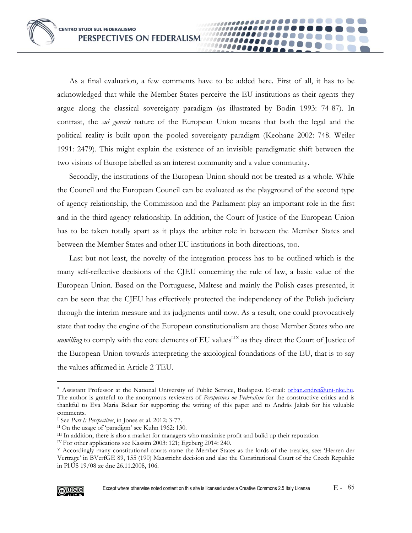As a final evaluation, a few comments have to be added here. First of all, it has to be acknowledged that while the Member States perceive the EU institutions as their agents they argue along the classical sovereignty paradigm (as illustrated by Bodin 1993: 74-87). In contrast, the *sui generis* nature of the European Union means that both the legal and the political reality is built upon the pooled sovereignty paradigm (Keohane 2002: 748. Weiler 1991: 2479). This might explain the existence of an invisible paradigmatic shift between the two visions of Europe labelled as an interest community and a value community.

.......

.......

,,,,,,,,,,,,,

11111111100 10000000

**.......** 

Secondly, the institutions of the European Union should not be treated as a whole. While the Council and the European Council can be evaluated as the playground of the second type of agency relationship, the Commission and the Parliament play an important role in the first and in the third agency relationship. In addition, the Court of Justice of the European Union has to be taken totally apart as it plays the arbiter role in between the Member States and between the Member States and other EU institutions in both directions, too.

Last but not least, the novelty of the integration process has to be outlined which is the many self-reflective decisions of the CJEU concerning the rule of law, a basic value of the European Union. Based on the Portuguese, Maltese and mainly the Polish cases presented, it can be seen that the CJEU has effectively protected the independency of the Polish judiciary through the interim measure and its judgments until now. As a result, one could provocatively state that today the engine of the European constitutionalism are those Member States who are *unwilling* to comply with the core elements of EU values<sup>LIX</sup> as they direct the Court of Justice of the European Union towards interpreting the axiological foundations of the EU, that is to say the values affirmed in Article 2 TEU.

<sup>V</sup> Accordingly many constitutional courts name the Member States as the lords of the treaties, see: 'Herren der Verträge' in BVerfGE 89, 155 (190) Maastricht decision and also the Constitutional Court of the Czech Republic in Pl.ÚS 19/08 ze dne 26.11.2008, 106.



<sup>\*</sup> Assistant Professor at the National University of Public Service, Budapest. E-mail: [orban.endre@uni-nke.hu.](mailto:orban.endre@uni-nke.hu) The author is grateful to the anonymous reviewers of *Perspectives on Federalism* for the constructive critics and is thankful to Eva Maria Belser for supporting the writing of this paper and to András Jakab for his valuable comments.

<sup>I</sup> See *Part I: Perspectives*, in Jones et al. 2012: 3-77.

II On the usage of 'paradigm' see Kuhn 1962: 130.

III In addition, there is also a market for managers who maximise profit and bulid up their reputation.

IV For other applications see Kassim 2003: 121; Egeberg 2014: 240.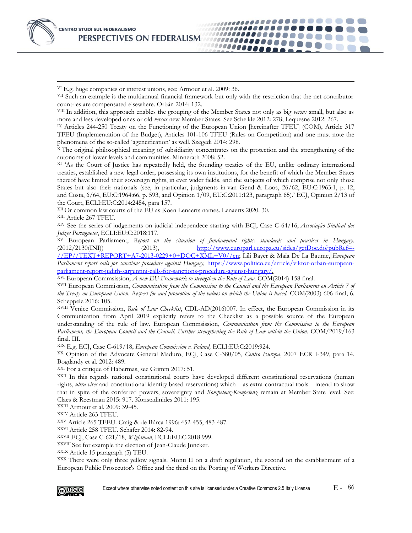VI E.g. huge companies or interest unions, see: Armour et al. 2009: 36.

VII Such an example is the multiannual financial framework but only with the restriction that the net contributor countries are compensated elsewhere. Orbán 2014: 132.

10000**0** 100000A

VIII In addition, this approach enables the grouping of the Member States not only as big *versus* small, but also as more and less developed ones or old *versus* new Member States. See Schelkle 2012: 278; Lequesne 2012: 267.

IX Articles 244-250 Treaty on the Functioning of the European Union [hereinafter TFEU] (COM), Article 317 TFEU (Implementation of the Budget), Articles 101-106 TFEU (Rules on Competition) and one must note the phenomena of the so-called 'agencification' as well. Szegedi 2014: 298.

<sup>X</sup> The original philosophical meaning of subsidiarity concentrates on the protection and the strengthening of the autonomy of lower levels and communities. Minnerath 2008: 52.

XI 'As the Court of Justice has repeatedly held, the founding treaties of the EU, unlike ordinary international treaties, established a new legal order, possessing its own institutions, for the benefit of which the Member States thereof have limited their sovereign rights, in ever wider fields, and the subjects of which comprise not only those States but also their nationals (see, in particular, judgments in van Gend & Loos, 26/62, EU:C:1963:1, p. 12, and Costa, 6/64, EU:C:1964:66, p. 593, and Opinion 1/09, EU:C:2011:123, paragraph 65).' ECJ, Opinion 2/13 of the Court, ECLI:EU:C:2014:2454, para 157.

XII Or common law courts of the EU as Koen Lenaerts names. Lenaerts 2020: 30.

XIII Article 267 TFEU.

XIV See the series of judgements on judicial independece starting with ECJ, Case C-64/16, *Associação Sindical dos Juízes Portugueses*, ECLI:EU:C:2018:117.

XV European Parliament, *Report on the situation of fundamental rights: standards and practices in Hungary.*  $(2012/2130(\text{INI}))$   $(2013)$ ,  $\frac{\text{http://www.europar.l.europa.eu/sides/getDoc.do?pubRef=4.015}}{2012}$ [//EP//TEXT+REPORT+A7-2013-0229+0+DOC+XML+V0//en;](http://www.europarl.europa.eu/sides/getDoc.do?pubRef=-//EP//TEXT+REPORT+A7-2013-0229+0+DOC+XML+V0//en) Lili Bayer & Maïa De La Baume, *European Parliament report calls for sanctions procedure against Hungary,* [https://www.politico.eu/article/viktor-orban-european](https://www.politico.eu/article/viktor-orban-european-parliament-report-judith-sargentini-calls-for-sanctions-procedure-against-hungary/)[parliament-report-judith-sargentini-calls-for-sanctions-procedure-against-hungary/.](https://www.politico.eu/article/viktor-orban-european-parliament-report-judith-sargentini-calls-for-sanctions-procedure-against-hungary/)

XVI European Commsission, *A new EU Framework to strengthen the Rule of Law*. COM(2014) 158 final.

XVII European Commission, *Communication from the Commission to the Council and the European Parliament on Article 7 of the Treaty on European Union. Respect for and promotion of the values on which the Union is based.* COM(2003) 606 final; 6. Scheppele 2016: 105.

XVIII Venice Commission, *Rule of Law Checklist*, CDL-AD(2016)007. In effect, the European Commission in its Communication from April 2019 explicitly refers to the Checklist as a possible source of the European understanding of the rule of law. European Commsission, *Communication from the Commission to the European Parliament, the European Council and the Council. Further strengthening the Rule of Law within the Union.* COM/2019/163 final. III.

XIX E.g. ECJ, Cas[e C-619/18,](https://europeanlawblog.eu/2019/07/08/thickening-up-judicial-independence-the-ecj-ruling-in-commission-v-poland-c-619-18/) *European Commission v. Poland,* ECLI:EU:C:2019:924.

XX Opinion of the Advocate General Maduro, ECJ, Case C-380/05, *Centro Europa*, 2007 ECR I-349, para 14. Bogdandy et al. 2012: 489.

XXI For a critique of Habermas, see Grimm 2017: 51.

XXII In this regards national constitutional courts have developed different constitutional reservations (human rights, *ultra vires* and constitutional identity based reservations) which – as extra-contractual tools – intend to show that in spite of the conferred powers, sovereignty and *Kompetenz-Kompetenz* remain at Member State level. See: Claes & Reestman 2015: 917. Konstadinides 2011: 195.

XXIII Armour et al. 2009: 39-45.

XXIV Article 263 TFEU.

XXV Article 265 TFEU. Craig & de Búrca 1996: 452-455, 483-487.

XXVI Article 258 TFEU. Schäfer 2014: 82-94.

XXVII ECJ, Case C-621/18, *Wightman*, ECLI:EU:C:2018:999.

XXVIII See for example the election of Jean-Claude Juncker.

XXIX Article 15 paragraph (5) TEU.

XXX There were only three yellow signals. Monti II on a draft regulation, the second on the establishment of a European Public Prosecutor's Office and the third on the Posting of Workers Directive.

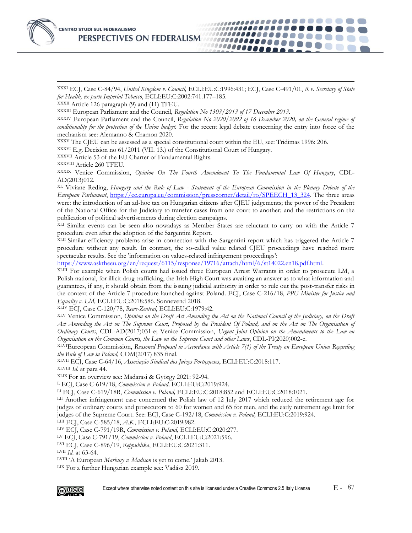

XXXI ECJ, Case C-84/94, *United Kingdom v. Council,* ECLI:EU:C:1996:431; ECJ, Case C-491/01, *R v. Secretary of State for Health, ex parte Imperial Tobacco*, ECLI:EU:C:2002:741.177–185.

......**..** 10000000 .......

XXXII Article 126 paragraph (9) and (11) TFEU.

XXXIII European Parliament and the Council, *Regulation No 1303/2013 of 17 December 2013.*

XXXIV European Parliament and the Council, *Regulation No 2020/2092 of 16 December 2020, on the General regime of*  conditionality for the protection of the Union budget. For the recent legal debate concerning the entry into force of the mechanism see: Alemanno & Chamon 2020.

XXXV The CJEU can be assessed as a special constitutional court within the EU, see: Tridimas 1996: 206.

XXXVI E.g. Decision no 61/2011 (VII. 13.) of the Constitutional Court of Hungary.

XXXVII Article 53 of the EU Charter of Fundamental Rights.

XXXVIII Article 260 TFEU.

XXXIX Venice Commission, *Opinion On The Fourth Amendment To The Fundamental Law Of Hungary*, CDL-AD(2013)012.

XL Viviane Reding, *Hungary and the Rule of Law - Statement of the European Commission in the Plenary Debate of the European Parliament*, https://ec.europa.eu/commission/presscorner/detail/ro/SPEECH\_13\_324</u>. The three areas were: the introduction of an ad-hoc tax on Hungarian citizens after CJEU judgements; the power of the President of the National Office for the Judiciary to transfer cases from one court to another; and the restrictions on the publication of political advertisements during election campaigns.

XLI Similar events can be seen also nowadays as Member States are reluctant to carry on with the Article 7 procedure even after the adoption of the Sargentini Report.

XLII Similar efficiency problems arise in connection with the Sargentini report which has triggered the Article 7 procedure without any result. In contrast, the so-called value related CJEU proceedings have reached more spectacular results. See the 'information on values-related infringement proceedings':

[https://www.asktheeu.org/en/request/6115/response/19716/attach/html/6/st14022.en18.pdf.html.](https://www.asktheeu.org/en/request/6115/response/19716/attach/html/6/st14022.en18.pdf.html)

XLIII For example when Polish courts had issued three European Arrest Warrants in order to prosecute LM, a Polish national, for illicit drug trafficking, the Irish High Court was awaiting an answer as to what information and guarantees, if any, it should obtain from the issuing judicial authority in order to rule out the post-transfer risks in the context of the Article 7 procedure launched against Poland. ECJ, Case C-216/18, *PPU Minister for Justice and Equality v. LM,* ECLI:EU:C:2018:586. Sonnevend 2018.

XLIV ECJ, Case C-120/78, *Rewe-Zentral*, ECLI:EU:C:1979:42.

XLV Venice Commission, *Opinion on the Draft Act Amending the Act on the National Council of the Judiciary, on the Draft Act Amending the Act on The Supreme Court, Proposed by the President Of Poland, and on the Act on The Organisation of Ordinary Courts*, CDL-AD(2017)031-e; Venice Commission, *Urgent Joint Opinion on the Amendments to the Law on Organisation on the Common Courts, the Law on the Supreme Court and other Laws*, CDL-PI(2020)002-e.

XLVIEureopean Commission, *Reasoned Proposal in Accordance with Article 7(1) of the Treaty on European Union Regarding the Rule of Law in Poland,* COM(2017) 835 final.

XLVII ECJ, Case C-64/16, *Associação Sindical dos Juízes Portugueses*, ECLI:EU:C:2018:117.

XLVIII *Id.* at para 44.

XLIX For an overview see: Madarasi & György 2021: 92-94.

<sup>L</sup> ECJ, Case C-619/18, *Commission v. Poland,* ECLI:EU:C:2019:924.

LI ECJ, Case C-619/18R, *Commission v. Poland,* ECLI:EU:C:2018:852 and ECLI:EU:C:2018:1021.

LII Another infringement case concerned the Polish law of 12 July 2017 which reduced the retirement age for judges of ordinary courts and prosecutors to 60 for women and 65 for men, and the early retirement age limit for judges of the Supreme Court. See: ECJ, Case C-192/18, *Commission v. Poland,* ECLI:EU:C:2019:924.

LIII ECJ, Case C-585/18, *A.K.*, ECLI:EU:C:2019:982.

LIV ECJ, Case C-791/19R, *Commission v. Poland,* ECLI:EU:C:2020:277.

LV ECJ, Case C-791/19, *Commission v. Poland*, ECLI:EU:C:2021:596.

LVI ECJ, Case C-896/19, *Reppublika*, ECLI:EU:C:2021:311.

LVII *Id.* at 63-64.

LVIII 'A European *Marbury v. Madison* is yet to come.' Jakab 2013.

LIX For a further Hungarian example see: Vadász 2019.

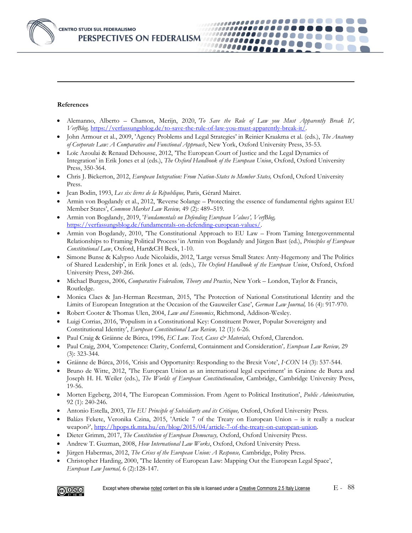#### **References**

• Alemanno, Alberto – Chamon, Merijn, 2020, *'To Save the Rule of Law you Must Apparently Break It', VerfBlog,* [https://verfassungsblog.de/to-save-the-rule-of-law-you-must-apparently-break-it/.](https://verfassungsblog.de/to-save-the-rule-of-law-you-must-apparently-break-it/)

10000000 10000000

,,,,,,,,,,,,,,,,,,,,,

- John Armour et al., 2009, 'Agency Problems and Legal Strategies' in Reinier Kraakma et al. (eds.), *The Anatomy of Corporate Law: A Comparative and Functional Approach*, New York, Oxford University Press, 35-53.
- Loïc Azoulai & Renaud Dehousse, 2012, 'The European Court of Justice and the Legal Dynamics of Integration' in Erik Jones et al (eds.), *The Oxford Handbook of the European Union*, Oxford, Oxford University Press, 350-364.
- Chris J. Bickerton, 2012, *European Integration: From Nation-States to Member States,* Oxford, Oxford University Press.
- Jean Bodin, 1993, *Les six livres de la République,* Paris, Gérard Mairet.
- Armin von Bogdandy et al., 2012, 'Reverse Solange Protecting the essence of fundamental rights against EU Member States', *Common Market Law Review,* 49 (2): 489–519.
- Armin von Bogdandy, 2019, '*Fundamentals on Defending European Values', VerfBlog,* [https://verfassungsblog.de/fundamentals-on-defending-european-values/.](https://verfassungsblog.de/fundamentals-on-defending-european-values/)
- Armin von Bogdandy, 2010, 'The Constitutional Approach to EU Law From Taming Intergovernmental Relationships to Framing Political Process*'* in Armin von Bogdandy and Jürgen Bast (ed.), *Principles of European Constitutional Law*, Oxford, Hart&CH Beck, 1-10.
- Simone Bunse & Kalypso Aude Nicolaidis, 2012, 'Large versus Small States: Anty-Hegemony and The Politics of Shared Leadership', in Erik Jones et al. (eds.), *The Oxford Handbook of the European Union*, Oxford, Oxford University Press, 249-266.
- Michael Burgess, 2006, *Comparative Federalism, Theory and Practice*, New York London, Taylor & Francis, Routledge.
- Monica Claes & Jan-Herman Reestman, 2015, 'The Protection of National Constitutional Identity and the Limits of European Integration at the Occasion of the Gauweiler Case', *German Law Journal,* 16 (4): 917-970.
- Robert Cooter & Thomas Ulen, 2004, *Law and Economics*, Richmond, Addison-Wesley.
- Luigi Corrias, 2016, 'Populism in a Constitutional Key: Constituent Power, Popular Sovereignty and Constitutional Identity', *European Constitutional Law Review,* 12 (1): 6-26.
- Paul Craig & Gráinne de Búrca, 1996, *EC Law. Text, Cases & Materials,* Oxford, Clarendon.
- Paul Craig, 2004, 'Competence: Clarity, Conferral, Containment and Consideration'*, European Law Review,* 29 (3): 323-344.
- Gráinne de Búrca, 2016, ['Crisis and Opportunity: Responding to the Brexit Vote',](http://feedproxy.google.com/~r/I-CONnect/~3/dz3aHwLE4UI/?utm_source=feedburner&utm_medium=email) *I·CON* 14 (3): 537-544.
- Bruno de Witte, 2012, 'The European Union as an international legal experiment' in Grainne de Burca and Joseph H. H. Weiler (eds.), *The Worlds of European Constitutionalism*, Cambridge, Cambridge University Press, 19-56.
- Morten Egeberg, 2014, 'The European Commission. From Agent to Political Institution', *Public Adminstration,* 92 (1): 240-246.
- Antonio Estella, 2003, *The EU Principle of Subsidiarty and its Critique,* Oxford, Oxford University Press.
- Balázs Fekete, Veronika Czina, 2015, 'Article 7 of the Treaty on European Union is it really a nuclear weapon?', [http://hpops.tk.mta.hu/en/blog/2015/04/article-7-of-the-treaty-on-european-union.](http://hpops.tk.mta.hu/en/blog/2015/04/article-7-of-the-treaty-on-european-union)
- Dieter Grimm, 2017, *The Constitution of European Democracy,* Oxford, Oxford University Press.
- Andrew T. Guzman, 2008, *How International Law Works*, Oxford, Oxford University Press.
- Jürgen Habermas, 2012, *The Crises of the European Union: A Response,* Cambridge, Polity Press.
- Christopher Harding, 2000, 'The Identity of European Law: Mapping Out the European Legal Space', *European Law Journal,* 6 (2):128-147.

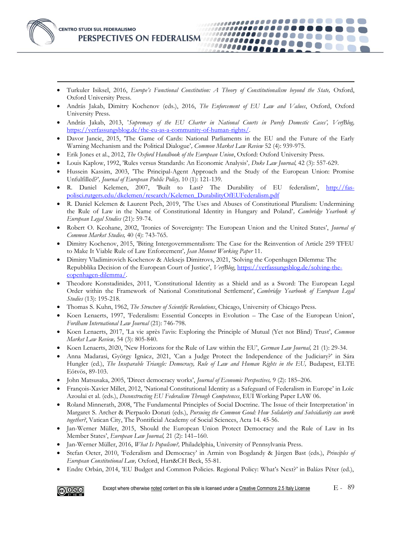

• Turkuler Isiksel, 2016, *Europe's Functional Constitution: A Theory of Constitutionalism beyond the State,* Oxford, Oxford University Press.

,,,,,,,,,,,,,,,,,,,,,,

100000000000

11111111000 100000000

- András Jakab, Dimitry Kochenov (eds.), 2016, *The Enforcement of EU Law and Values*, Oxford, Oxford University Press.
- András Jakab, 2013, '*Supremacy of the EU Charter in National Courts in Purely Domestic Cases', VerfBlog,* [https://verfassungsblog.de/the-eu-as-a-community-of-human-rights/.](https://verfassungsblog.de/the-eu-as-a-community-of-human-rights/)
- Davor Jancic, 2015, 'The Game of Cards: National Parliaments in the EU and the Future of the Early Warning Mechanism and the Political Dialogue'*, Common Market Law Review* 52 (4): 939-975.
- Erik Jones et al., 2012, *The Oxford Handbook of the European Union*, Oxford: Oxford University Press.
- Louis Kaplow, 1992, 'Rules versus Standards: An Economic Analysis'*, Duke Law Journal,* 42 (3): 557-629.
- Hussein Kassim, 2003, 'The Principal-Agent Approach and the Study of the European Union: Promise Unfulfilled?'*, Journal of European Public Policy,* 10 (1): 121-139.
- R. Daniel Kelemen, 2007, 'Built to Last? The Durability of EU federalism', [http://fas](http://fas-polisci.rutgers.edu/dkelemen/research/Kelemen_DurabilityOfEUFederalism.pdf)[polisci.rutgers.edu/dkelemen/research/Kelemen\\_DurabilityOfEUFederalism.pdf](http://fas-polisci.rutgers.edu/dkelemen/research/Kelemen_DurabilityOfEUFederalism.pdf)
- R. Daniel Kelemen & Laurent Pech, 2019, 'The Uses and Abuses of Constitutional Pluralism: Undermining the Rule of Law in the Name of Constitutional Identity in Hungary and Poland'*, Cambridge Yearbook of European Legal Studies* (21): 59-74.
- Robert O. Keohane, 2002, 'Ironies of Sovereignty: The European Union and the United States', *Journal of Common Market Studies,* 40 (4): 743-765.
- Dimitry Kochenov, 2015, 'Biting Intergovernmentalism: The Case for the Reinvention of Article 259 TFEU to Make It Viable Rule of Law Enforcement'*, Jean Monnet Working Paper* 11.
- Dimitry Vladimirovich Kochenov & Aleksejs Dimitrovs, 2021, 'Solving the Copenhagen Dilemma: The Repubblika Decision of the European Court of Justice', *VerfBlog*, [https://verfassungsblog.de/solving-the](https://verfassungsblog.de/solving-the-copenhagen-dilemma/)[copenhagen-dilemma/.](https://verfassungsblog.de/solving-the-copenhagen-dilemma/)
- Theodore Konstadinides, 2011, 'Constitutional Identity as a Shield and as a Sword: The European Legal Order within the Framework of National Constitutional Settlement', *Cambridge Yearbook of European Legal Studies* (13): 195-218.
- Thomas S. Kuhn, 1962, *The Structure of Scientific Revolutions*, Chicago, University of Chicago Press.
- Koen Lenaerts, 1997, 'Federalism: Essential Concepts in Evolution The Case of the European Union', *Fordham International Law Journal* (21): 746-798.
- Koen Lenaerts, 2017, 'La vie après l'avis: Exploring the Principle of Mutual (Yet not Blind) Trust', *Common Market Law Review,* 54 (3): 805-840.
- Koen Lenaerts, 2020, 'New Horizons for the Rule of Law within the EU', *German Law Journal,* 21 (1): 29-34.
- Anna Madarasi, György Ignácz, 2021, 'Can a Judge Protect the Independence of the Judiciary?' in Sára Hungler (ed.), *The Inseparable Triangle: Democracy, Rule of Law and Human Rights in the EU*, Budapest, ELTE Eötvös, 89-103.
- John Matsusaka, 2005, 'Direct democracy works', *Journal of Economic Perspectives,* 9 (2): 185–206.
- François-Xavier Millet, 2012, 'National Constitutional Identity as a Safeguard of Federalism in Europe' in Loïc Azoulai et al. (eds.), *Deconstructing EU Federalism Through Competences*, EUI Working Paper LAW 06.
- Roland Minnerath, 2008, 'The Fundamental Principles of Social Doctrine. The Issue of their Interpretation' in Margaret S. Archer & Pierpaolo Donati (eds.), *Pursuing the Common Good: How Solidarity and Subsidiarity can work together?*, Vatican City, The Pontificial Academy of Social Sciences, Acta 14. 45-56.
- Jan-Werner Müller, 2015, *'*Should the European Union Protect Democracy and the Rule of Law in Its Member States', *European Law Journal,* 21 (2): 141–160.
- Jan-Werner Müller, 2016, *What Is Populism?,* Philadelphia, University of Pennsylvania Press.
- Stefan Oeter, 2010, 'Federalism and Democracy' in Armin von Bogdandy & Jürgen Bast (eds.), *Principles of European Constitutional Law,* Oxford, Hart&CH Beck, 55-81.
- Endre Orbán, 2014, 'EU Budget and Common Policies. Regional Policy: What's Next?' in Balázs Péter (ed.),